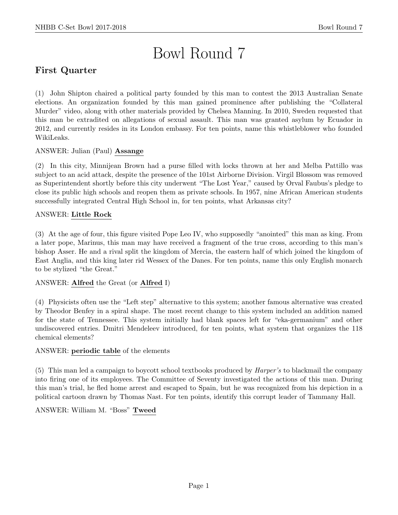# Bowl Round 7

# First Quarter

(1) John Shipton chaired a political party founded by this man to contest the 2013 Australian Senate elections. An organization founded by this man gained prominence after publishing the "Collateral Murder" video, along with other materials provided by Chelsea Manning. In 2010, Sweden requested that this man be extradited on allegations of sexual assault. This man was granted asylum by Ecuador in 2012, and currently resides in its London embassy. For ten points, name this whistleblower who founded WikiLeaks.

ANSWER: Julian (Paul) Assange

(2) In this city, Minnijean Brown had a purse filled with locks thrown at her and Melba Pattillo was subject to an acid attack, despite the presence of the 101st Airborne Division. Virgil Blossom was removed as Superintendent shortly before this city underwent "The Lost Year," caused by Orval Faubus's pledge to close its public high schools and reopen them as private schools. In 1957, nine African American students successfully integrated Central High School in, for ten points, what Arkansas city?

#### ANSWER: Little Rock

(3) At the age of four, this figure visited Pope Leo IV, who supposedly "anointed" this man as king. From a later pope, Marinus, this man may have received a fragment of the true cross, according to this man's bishop Asser. He and a rival split the kingdom of Mercia, the eastern half of which joined the kingdom of East Anglia, and this king later rid Wessex of the Danes. For ten points, name this only English monarch to be stylized "the Great."

#### ANSWER: Alfred the Great (or Alfred I)

(4) Physicists often use the "Left step" alternative to this system; another famous alternative was created by Theodor Benfey in a spiral shape. The most recent change to this system included an addition named for the state of Tennessee. This system initially had blank spaces left for "eka-germanium" and other undiscovered entries. Dmitri Mendeleev introduced, for ten points, what system that organizes the 118 chemical elements?

#### ANSWER: periodic table of the elements

(5) This man led a campaign to boycott school textbooks produced by Harper's to blackmail the company into firing one of its employees. The Committee of Seventy investigated the actions of this man. During this man's trial, he fled home arrest and escaped to Spain, but he was recognized from his depiction in a political cartoon drawn by Thomas Nast. For ten points, identify this corrupt leader of Tammany Hall.

ANSWER: William M. "Boss" Tweed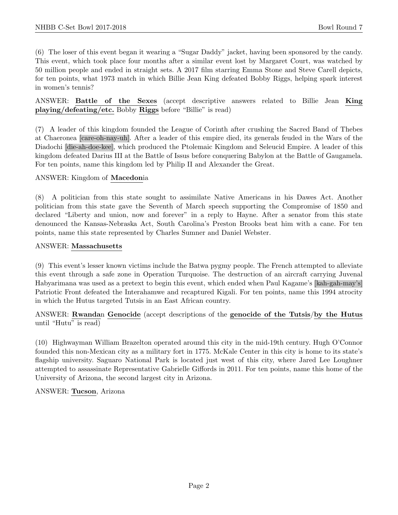(6) The loser of this event began it wearing a "Sugar Daddy" jacket, having been sponsored by the candy. This event, which took place four months after a similar event lost by Margaret Court, was watched by 50 million people and ended in straight sets. A 2017 film starring Emma Stone and Steve Carell depicts, for ten points, what 1973 match in which Billie Jean King defeated Bobby Riggs, helping spark interest in women's tennis?

ANSWER: Battle of the Sexes (accept descriptive answers related to Billie Jean King playing/defeating/etc. Bobby Riggs before "Billie" is read)

(7) A leader of this kingdom founded the League of Corinth after crushing the Sacred Band of Thebes at Chaeronea [care-oh-nay-uh]. After a leader of this empire died, its generals feuded in the Wars of the Diadochi [die-ah-doe-kee], which produced the Ptolemaic Kingdom and Seleucid Empire. A leader of this kingdom defeated Darius III at the Battle of Issus before conquering Babylon at the Battle of Gaugamela. For ten points, name this kingdom led by Philip II and Alexander the Great.

#### ANSWER: Kingdom of Macedonia

(8) A politician from this state sought to assimilate Native Americans in his Dawes Act. Another politician from this state gave the Seventh of March speech supporting the Compromise of 1850 and declared "Liberty and union, now and forever" in a reply to Hayne. After a senator from this state denounced the Kansas-Nebraska Act, South Carolina's Preston Brooks beat him with a cane. For ten points, name this state represented by Charles Sumner and Daniel Webster.

#### ANSWER: Massachusetts

(9) This event's lesser known victims include the Batwa pygmy people. The French attempted to alleviate this event through a safe zone in Operation Turquoise. The destruction of an aircraft carrying Juvenal Habyarimana was used as a pretext to begin this event, which ended when Paul Kagame's [kah-gah-may's] Patriotic Front defeated the Interahamwe and recaptured Kigali. For ten points, name this 1994 atrocity in which the Hutus targeted Tutsis in an East African country.

ANSWER: Rwandan Genocide (accept descriptions of the genocide of the Tutsis/by the Hutus until "Hutu" is read)

(10) Highwayman William Brazelton operated around this city in the mid-19th century. Hugh O'Connor founded this non-Mexican city as a military fort in 1775. McKale Center in this city is home to its state's flagship university. Saguaro National Park is located just west of this city, where Jared Lee Loughner attempted to assassinate Representative Gabrielle Giffords in 2011. For ten points, name this home of the University of Arizona, the second largest city in Arizona.

#### ANSWER: Tucson, Arizona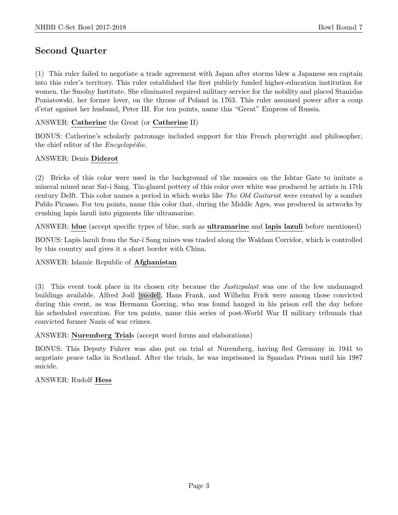# Second Quarter

(1) This ruler failed to negotiate a trade agreement with Japan after storms blew a Japanese sea captain into this ruler's territory. This ruler established the first publicly funded higher-education institution for women, the Smolny Institute. She eliminated required military service for the nobility and placed Stanislas Poniatowski, her former lover, on the throne of Poland in 1763. This ruler assumed power after a coup d'etat against her husband, Peter III. For ten points, name this "Great" Empress of Russia.

#### ANSWER: Catherine the Great (or Catherine II)

BONUS: Catherine's scholarly patronage included support for this French playwright and philosopher, the chief editor of the  $Encyclopédie$ .

#### ANSWER: Denis Diderot

(2) Bricks of this color were used in the background of the mosaics on the Ishtar Gate to imitate a mineral mined near Sar-i Sang. Tin-glazed pottery of this color over white was produced by artists in 17th century Delft. This color names a period in which works like The Old Guitarist were created by a somber Pablo Picasso. For ten points, name this color that, during the Middle Ages, was produced in artworks by crushing lapis lazuli into pigments like ultramarine.

ANSWER: blue (accept specific types of blue, such as ultramarine and lapis lazuli before mentioned)

BONUS: Lapis lazuli from the Sar-i Sang mines was traded along the Wakhan Corridor, which is controlled by this country and gives it a short border with China.

#### ANSWER: Islamic Republic of Afghanistan

(3) This event took place in its chosen city because the Justizpalast was one of the few undamaged buildings available. Alfred Jodl [yo-del], Hans Frank, and Wilhelm Frick were among those convicted during this event, as was Hermann Goering, who was found hanged in his prison cell the day before his scheduled execution. For ten points, name this series of post-World War II military tribunals that convicted former Nazis of war crimes.

ANSWER: Nuremberg Trials (accept word forms and elaborations)

BONUS: This Deputy Fuhrer was also put on trial at Nuremberg, having fled Germany in 1941 to negotiate peace talks in Scotland. After the trials, he was imprisoned in Spandau Prison until his 1987 suicide.

#### ANSWER: Rudolf Hess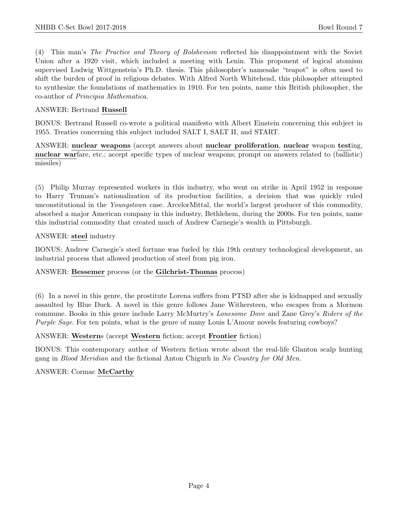(4) This man's The Practice and Theory of Bolshevism reflected his disappointment with the Soviet Union after a 1920 visit, which included a meeting with Lenin. This proponent of logical atomism supervised Ludwig Wittgenstein's Ph.D. thesis. This philosopher's namesake "teapot" is often used to shift the burden of proof in religious debates. With Alfred North Whitehead, this philosopher attempted to synthesize the foundations of mathematics in 1910. For ten points, name this British philosopher, the co-author of Principia Mathematica.

#### ANSWER: Bertrand Russell

BONUS: Bertrand Russell co-wrote a political manifesto with Albert Einstein concerning this subject in 1955. Treaties concerning this subject included SALT I, SALT II, and START.

ANSWER: nuclear weapons (accept answers about nuclear proliferation, nuclear weapon testing, nuclear warfare, etc.; accept specific types of nuclear weapons; prompt on answers related to (ballistic) missiles)

(5) Philip Murray represented workers in this industry, who went on strike in April 1952 in response to Harry Truman's nationalization of its production facilities, a decision that was quickly ruled unconstitutional in the Youngstown case. ArcelorMittal, the world's largest producer of this commodity, absorbed a major American company in this industry, Bethlehem, during the 2000s. For ten points, name this industrial commodity that created much of Andrew Carnegie's wealth in Pittsburgh.

#### ANSWER: steel industry

BONUS: Andrew Carnegie's steel fortune was fueled by this 19th century technological development, an industrial process that allowed production of steel from pig iron.

#### ANSWER: Bessemer process (or the Gilchrist-Thomas process)

(6) In a novel in this genre, the prostitute Lorena suffers from PTSD after she is kidnapped and sexually assaulted by Blue Duck. A novel in this genre follows Jane Withersteen, who escapes from a Mormon commune. Books in this genre include Larry McMurtry's Lonesome Dove and Zane Grey's Riders of the Purple Sage. For ten points, what is the genre of many Louis L'Amour novels featuring cowboys?

#### ANSWER: Westerns (accept Western fiction; accept Frontier fiction)

BONUS: This contemporary author of Western fiction wrote about the real-life Glanton scalp hunting gang in Blood Meridian and the fictional Anton Chigurh in No Country for Old Men.

#### ANSWER: Cormac McCarthy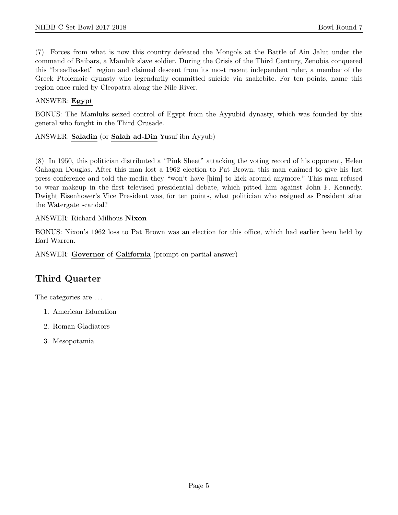(7) Forces from what is now this country defeated the Mongols at the Battle of Ain Jalut under the command of Baibars, a Mamluk slave soldier. During the Crisis of the Third Century, Zenobia conquered this "breadbasket" region and claimed descent from its most recent independent ruler, a member of the Greek Ptolemaic dynasty who legendarily committed suicide via snakebite. For ten points, name this region once ruled by Cleopatra along the Nile River.

# ANSWER: Egypt

BONUS: The Mamluks seized control of Egypt from the Ayyubid dynasty, which was founded by this general who fought in the Third Crusade.

ANSWER: Saladin (or Salah ad-Din Yusuf ibn Ayyub)

(8) In 1950, this politician distributed a "Pink Sheet" attacking the voting record of his opponent, Helen Gahagan Douglas. After this man lost a 1962 election to Pat Brown, this man claimed to give his last press conference and told the media they "won't have [him] to kick around anymore." This man refused to wear makeup in the first televised presidential debate, which pitted him against John F. Kennedy. Dwight Eisenhower's Vice President was, for ten points, what politician who resigned as President after the Watergate scandal?

#### ANSWER: Richard Milhous Nixon

BONUS: Nixon's 1962 loss to Pat Brown was an election for this office, which had earlier been held by Earl Warren.

ANSWER: Governor of California (prompt on partial answer)

# Third Quarter

The categories are . . .

- 1. American Education
- 2. Roman Gladiators
- 3. Mesopotamia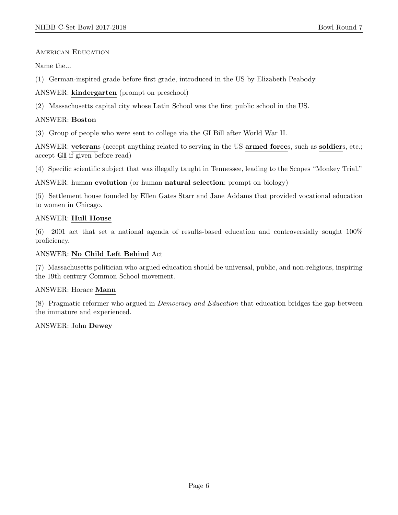AMERICAN EDUCATION

Name the...

(1) German-inspired grade before first grade, introduced in the US by Elizabeth Peabody.

ANSWER: kindergarten (prompt on preschool)

(2) Massachusetts capital city whose Latin School was the first public school in the US.

#### ANSWER: Boston

(3) Group of people who were sent to college via the GI Bill after World War II.

ANSWER: veterans (accept anything related to serving in the US armed forces, such as soldiers, etc.; accept GI if given before read)

(4) Specific scientific subject that was illegally taught in Tennessee, leading to the Scopes "Monkey Trial."

ANSWER: human evolution (or human natural selection; prompt on biology)

(5) Settlement house founded by Ellen Gates Starr and Jane Addams that provided vocational education to women in Chicago.

#### ANSWER: Hull House

(6) 2001 act that set a national agenda of results-based education and controversially sought 100% proficiency.

#### ANSWER: No Child Left Behind Act

(7) Massachusetts politician who argued education should be universal, public, and non-religious, inspiring the 19th century Common School movement.

#### ANSWER: Horace Mann

(8) Pragmatic reformer who argued in Democracy and Education that education bridges the gap between the immature and experienced.

#### ANSWER: John Dewey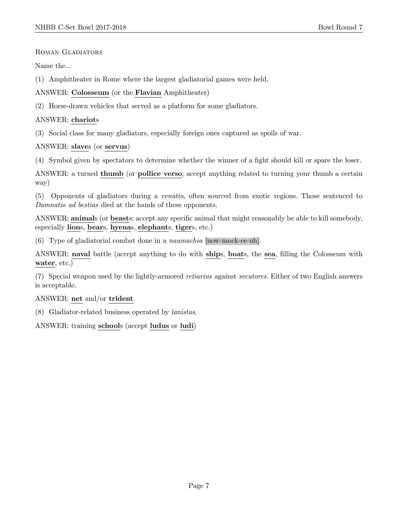Roman Gladiators

Name the...

(1) Amphitheater in Rome where the largest gladiatorial games were held.

ANSWER: Colosseum (or the Flavian Amphitheater)

(2) Horse-drawn vehicles that served as a platform for some gladiators.

#### ANSWER: chariots

(3) Social class for many gladiators, especially foreign ones captured as spoils of war.

#### ANSWER: slaves (or servus)

(4) Symbol given by spectators to determine whether the winner of a fight should kill or spare the loser.

ANSWER: a turned thumb (or pollice verso; accept anything related to turning your thumb a certain way)

(5) Opponents of gladiators during a venatio, often sourced from exotic regions. Those sentenced to Damnatio ad bestias died at the hands of these opponents.

ANSWER: animals (or beasts; accept any specific animal that might reasonably be able to kill somebody, especially lions, bears, hyenas, elephants, tigers, etc.)

(6) Type of gladiatorial combat done in a naumachia [now-mock-ee-uh].

ANSWER: naval battle (accept anything to do with ships, boats, the sea, filling the Colosseum with water, etc.)

(7) Special weapon used by the lightly-armored retiarius against secutores. Either of two English answers is acceptable.

# ANSWER: net and/or trident

(8) Gladiator-related business operated by lanistas.

ANSWER: training schools (accept ludus or ludi)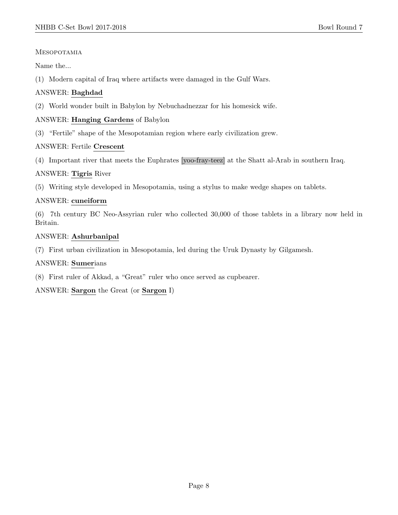#### **MESOPOTAMIA**

Name the...

(1) Modern capital of Iraq where artifacts were damaged in the Gulf Wars.

# ANSWER: Baghdad

(2) World wonder built in Babylon by Nebuchadnezzar for his homesick wife.

# ANSWER: Hanging Gardens of Babylon

(3) "Fertile" shape of the Mesopotamian region where early civilization grew.

# ANSWER: Fertile Crescent

(4) Important river that meets the Euphrates [yoo-fray-teez] at the Shatt al-Arab in southern Iraq.

# ANSWER: Tigris River

(5) Writing style developed in Mesopotamia, using a stylus to make wedge shapes on tablets.

# ANSWER: cuneiform

(6) 7th century BC Neo-Assyrian ruler who collected 30,000 of those tablets in a library now held in Britain.

#### ANSWER: Ashurbanipal

(7) First urban civilization in Mesopotamia, led during the Uruk Dynasty by Gilgamesh.

#### ANSWER: Sumerians

(8) First ruler of Akkad, a "Great" ruler who once served as cupbearer.

# ANSWER: Sargon the Great (or Sargon I)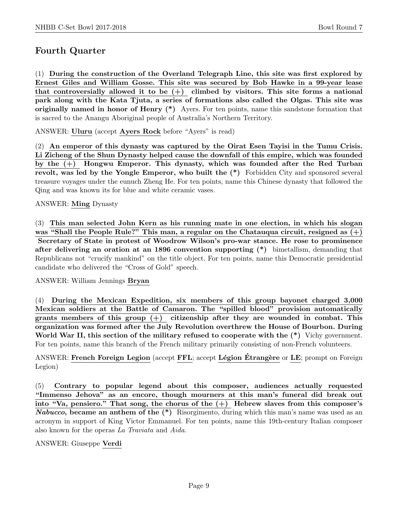# Fourth Quarter

(1) During the construction of the Overland Telegraph Line, this site was first explored by Ernest Giles and William Gosse. This site was secured by Bob Hawke in a 99-year lease that controversially allowed it to be  $(+)$  climbed by visitors. This site forms a national park along with the Kata Tjuta, a series of formations also called the Olgas. This site was originally named in honor of Henry (\*) Ayers. For ten points, name this sandstone formation that is sacred to the Anangu Aboriginal people of Australia's Northern Territory.

ANSWER: Uluru (accept Ayers Rock before "Ayers" is read)

(2) An emperor of this dynasty was captured by the Oirat Esen Tayisi in the Tumu Crisis. Li Zicheng of the Shun Dynasty helped cause the downfall of this empire, which was founded by the (+) Hongwu Emperor. This dynasty, which was founded after the Red Turban revolt, was led by the Yongle Emperor, who built the (\*) Forbidden City and sponsored several treasure voyages under the eunuch Zheng He. For ten points, name this Chinese dynasty that followed the Qing and was known its for blue and white ceramic vases.

#### ANSWER: Ming Dynasty

(3) This man selected John Kern as his running mate in one election, in which his slogan was "Shall the People Rule?" This man, a regular on the Chatauqua circuit, resigned as  $(+)$ Secretary of State in protest of Woodrow Wilson's pro-war stance. He rose to prominence after delivering an oration at an 1896 convention supporting (\*) bimetallism, demanding that Republicans not "crucify mankind" on the title object. For ten points, name this Democratic presidential candidate who delivered the "Cross of Gold" speech.

ANSWER: William Jennings Bryan

(4) During the Mexican Expedition, six members of this group bayonet charged 3,000 Mexican soldiers at the Battle of Camaron. The "spilled blood" provision automatically grants members of this group  $(+)$  citizenship after they are wounded in combat. This organization was formed after the July Revolution overthrew the House of Bourbon. During World War II, this section of the military refused to cooperate with the  $(*)$  Vichy government. For ten points, name this branch of the French military primarily consisting of non-French volunteers.

ANSWER: French Foreign Legion (accept FFL; accept Légion Étrangère or LE; prompt on Foreign Legion)

(5) Contrary to popular legend about this composer, audiences actually requested "Immenso Jehova" as an encore, though mourners at this man's funeral did break out into "Va, pensiero." That song, the chorus of the  $(+)$  Hebrew slaves from this composer's **Nabucco, became an anthem of the**  $(*)$  Risorgimento, during which this man's name was used as an acronym in support of King Victor Emmanuel. For ten points, name this 19th-century Italian composer also known for the operas La Traviata and Aida.

ANSWER: Giuseppe Verdi